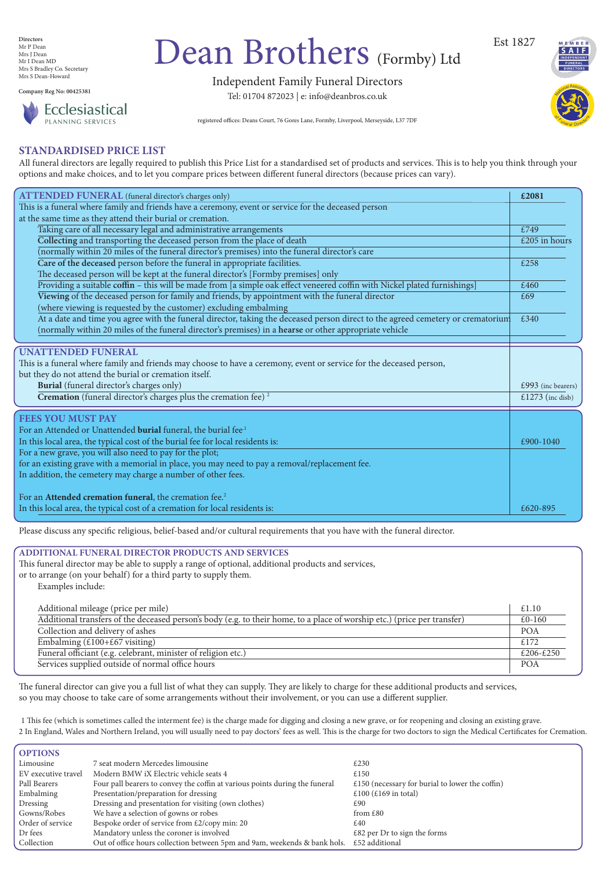Independent Family Funeral Directors Tel: 01704 872023 | e: info@deanbros.co.uk

**Directors** Mr P Dean Mrs J Dean Mr I Dean MD Mrs S Bradley Co. Secretary Mrs S Dean-Howard

**Company Reg No: 00425381**



# Dean Brothers (Formby) Ltd

registered offices: Deans Court, 76 Gores Lane, Formby, Liverpool, Merseyside, L37 7DF

**Est 1905**

#### **STANDARDISED PRICE LIST**

All funeral directors are legally required to publish this Price List for a standardised set of products and services. This is to help you think through your options and make choices, and to let you compare prices between different funeral directors (because prices can vary).

| <b>ATTENDED FUNERAL</b> (funeral director's charges only)                                                                       | £2081                        |
|---------------------------------------------------------------------------------------------------------------------------------|------------------------------|
| This is a funeral where family and friends have a ceremony, event or service for the deceased person                            |                              |
| at the same time as they attend their burial or cremation.                                                                      |                              |
| Taking care of all necessary legal and administrative arrangements                                                              | £749                         |
| Collecting and transporting the deceased person from the place of death                                                         | $\text{\pounds}205$ in hours |
| (normally within 20 miles of the funeral director's premises) into the funeral director's care                                  |                              |
| Care of the deceased person before the funeral in appropriate facilities.                                                       | £258                         |
| The deceased person will be kept at the funeral director's [Formby premises] only                                               |                              |
| Providing a suitable coffin - this will be made from [a simple oak effect veneered coffin with Nickel plated furnishings]       | £460                         |
| Viewing of the deceased person for family and friends, by appointment with the funeral director                                 | £69                          |
| (where viewing is requested by the customer) excluding embalming                                                                |                              |
| At a date and time you agree with the funeral director, taking the deceased person direct to the agreed cemetery or crematorium | £340                         |
| (normally within 20 miles of the funeral director's premises) in a hearse or other appropriate vehicle                          |                              |
|                                                                                                                                 |                              |
| <b>UNATTENDED FUNERAL</b>                                                                                                       |                              |
| This is a funeral where family and friends may choose to have a ceremony, event or service for the deceased person,             |                              |
| but they do not attend the burial or cremation itself.                                                                          |                              |
| Burial (funeral director's charges only)                                                                                        | £993 (inc bearers)           |
| Cremation (funeral director's charges plus the cremation fee) <sup>2</sup>                                                      | £1273 (inc disb)             |
| <b>FEES YOU MUST PAY</b>                                                                                                        |                              |
| For an Attended or Unattended <b>burial</b> funeral, the burial fee <sup>1</sup>                                                |                              |
| In this local area, the typical cost of the burial fee for local residents is:                                                  | £900-1040                    |
| For a new grave, you will also need to pay for the plot;                                                                        |                              |

| for an existing grave with a memorial in place, you may need to pay a removal/replacement fee. |          |
|------------------------------------------------------------------------------------------------|----------|
| In addition, the cemetery may charge a number of other fees.                                   |          |
|                                                                                                |          |
| For an Attended cremation funeral, the cremation fee. <sup>2</sup>                             |          |
| In this local area, the typical cost of a cremation for local residents is:                    | £620-895 |
|                                                                                                |          |

Please discuss any specific religious, belief-based and/or cultural requirements that you have with the funeral director.

| ADDITIONAL FUNERAL DIRECTOR PRODUCTS AND SERVICES                                                                        |            |
|--------------------------------------------------------------------------------------------------------------------------|------------|
| This funeral director may be able to supply a range of optional, additional products and services,                       |            |
| or to arrange (on your behalf) for a third party to supply them.                                                         |            |
| Examples include:                                                                                                        |            |
|                                                                                                                          |            |
| Additional mileage (price per mile)                                                                                      | £1.10      |
| Additional transfers of the deceased person's body (e.g. to their home, to a place of worship etc.) (price per transfer) | £0-160     |
| Collection and delivery of ashes                                                                                         | <b>POA</b> |
| Embalming $(\text{\pounds}100+\text{\pounds}67 \text{ visiting})$                                                        | £172       |
| Funeral officiant (e.g. celebrant, minister of religion etc.)                                                            | £206-£250  |
| Services supplied outside of normal office hours                                                                         | <b>POA</b> |
|                                                                                                                          |            |

The funeral director can give you a full list of what they can supply. They are likely to charge for these additional products and services, so you may choose to take care of some arrangements without their involvement, or you can use a different supplier.

1 This fee (which is sometimes called the interment fee) is the charge made for digging and closing a new grave, or for reopening and closing an existing grave. 2 In England, Wales and Northern Ireland, you will usually need to pay doctors' fees as well. This is the charge for two doctors to sign the Medical Certificates for Cremation.

| <b>OPTIONS</b>      |                                                                             |                                                 |
|---------------------|-----------------------------------------------------------------------------|-------------------------------------------------|
| Limousine           | 7 seat modern Mercedes limousine                                            | £230                                            |
| EV executive travel | Modern BMW iX Electric vehicle seats 4                                      | £150                                            |
| Pall Bearers        | Four pall bearers to convey the coffin at various points during the funeral | £150 (necessary for burial to lower the coffin) |
| Embalming           | Presentation/preparation for dressing                                       | £100 (£169 in total)                            |
| Dressing            | Dressing and presentation for visiting (own clothes)                        | £90                                             |
| Gowns/Robes         | We have a selection of gowns or robes                                       | from $£80$                                      |
| Order of service    | Bespoke order of service from £2/copy min: 20                               | £40                                             |
| Dr fees             | Mandatory unless the coroner is involved                                    | $\pounds82$ per Dr to sign the forms            |
| Collection          | Out of office hours collection between 5pm and 9am, weekends & bank hols.   | £52 additional                                  |





National Association

or Funeral Directors